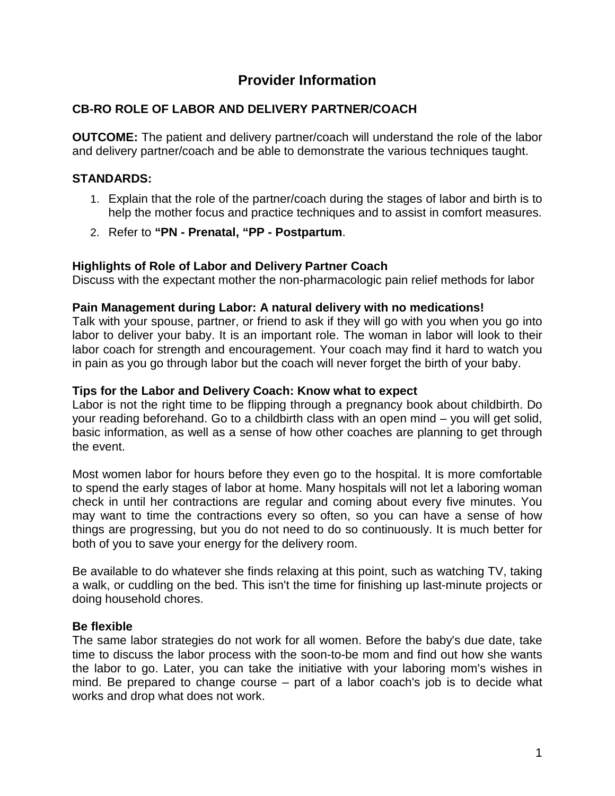# **Provider Information**

# **CB-RO ROLE OF LABOR AND DELIVERY PARTNER/COACH**

**OUTCOME:** The patient and delivery partner/coach will understand the role of the labor and delivery partner/coach and be able to demonstrate the various techniques taught.

# **STANDARDS:**

- 1. Explain that the role of the partner/coach during the stages of labor and birth is to help the mother focus and practice techniques and to assist in comfort measures.
- 2. Refer to **"PN - Prenatal, "PP - Postpartum**.

# **Highlights of Role of Labor and Delivery Partner Coach**

Discuss with the expectant mother the non-pharmacologic pain relief methods for labor

### **Pain Management during Labor: A natural delivery with no medications!**

Talk with your spouse, partner, or friend to ask if they will go with you when you go into labor to deliver your baby. It is an important role. The woman in labor will look to their labor coach for strength and encouragement. Your coach may find it hard to watch you in pain as you go through labor but the coach will never forget the birth of your baby.

### **Tips for the Labor and Delivery Coach: Know what to expect**

Labor is not the right time to be flipping through a pregnancy book about childbirth. Do your reading beforehand. Go to a childbirth class with an open mind – you will get solid, basic information, as well as a sense of how other coaches are planning to get through the event.

Most women labor for hours before they even go to the hospital. It is more comfortable to spend the early stages of labor at home. Many hospitals will not let a laboring woman check in until her contractions are regular and coming about every five minutes. You may want to time the contractions every so often, so you can have a sense of how things are progressing, but you do not need to do so continuously. It is much better for both of you to save your energy for the delivery room.

Be available to do whatever she finds relaxing at this point, such as watching TV, taking a walk, or cuddling on the bed. This isn't the time for finishing up last-minute projects or doing household chores.

# **Be flexible**

The same labor strategies do not work for all women. Before the baby's due date, take time to discuss the labor process with the soon-to-be mom and find out how she wants the labor to go. Later, you can take the initiative with your laboring mom's wishes in mind. Be prepared to change course – part of a labor coach's job is to decide what works and drop what does not work.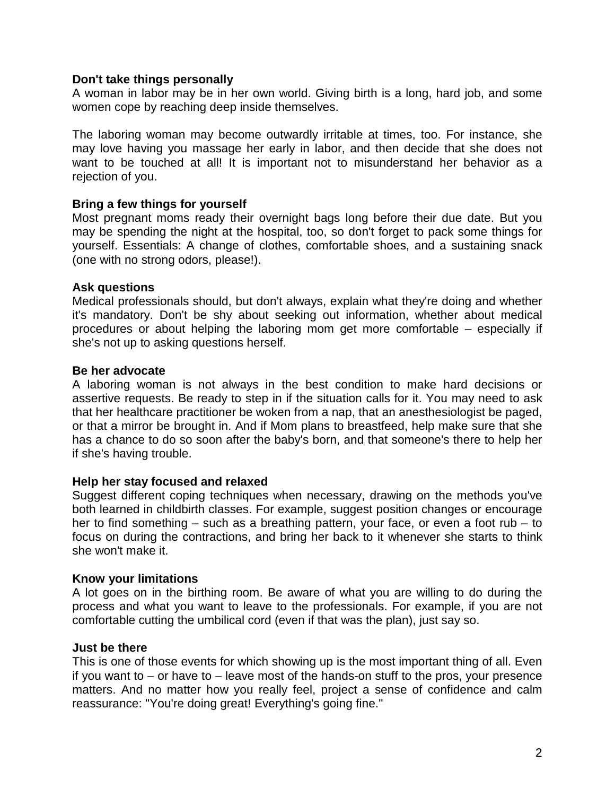#### **Don't take things personally**

A woman in labor may be in her own world. Giving birth is a long, hard job, and some women cope by reaching deep inside themselves.

The laboring woman may become outwardly irritable at times, too. For instance, she may love having you massage her early in labor, and then decide that she does not want to be touched at all! It is important not to misunderstand her behavior as a rejection of you.

### **Bring a few things for yourself**

Most pregnant moms ready their overnight bags long before their due date. But you may be spending the night at the hospital, too, so don't forget to pack some things for yourself. Essentials: A change of clothes, comfortable shoes, and a sustaining snack (one with no strong odors, please!).

#### **Ask questions**

Medical professionals should, but don't always, explain what they're doing and whether it's mandatory. Don't be shy about seeking out information, whether about medical procedures or about helping the laboring mom get more comfortable – especially if she's not up to asking questions herself.

### **Be her advocate**

A laboring woman is not always in the best condition to make hard decisions or assertive requests. Be ready to step in if the situation calls for it. You may need to ask that her healthcare practitioner be woken from a nap, that an anesthesiologist be paged, or that a mirror be brought in. And if Mom plans to breastfeed, help make sure that she has a chance to do so soon after the baby's born, and that someone's there to help her if she's having trouble.

# **Help her stay focused and relaxed**

Suggest different coping techniques when necessary, drawing on the methods you've both learned in childbirth classes. For example, suggest position changes or encourage her to find something – such as a breathing pattern, your face, or even a foot rub – to focus on during the contractions, and bring her back to it whenever she starts to think she won't make it.

# **Know your limitations**

A lot goes on in the birthing room. Be aware of what you are willing to do during the process and what you want to leave to the professionals. For example, if you are not comfortable cutting the umbilical cord (even if that was the plan), just say so.

#### **Just be there**

This is one of those events for which showing up is the most important thing of all. Even if you want to  $-$  or have to  $-$  leave most of the hands-on stuff to the pros, your presence matters. And no matter how you really feel, project a sense of confidence and calm reassurance: "You're doing great! Everything's going fine."